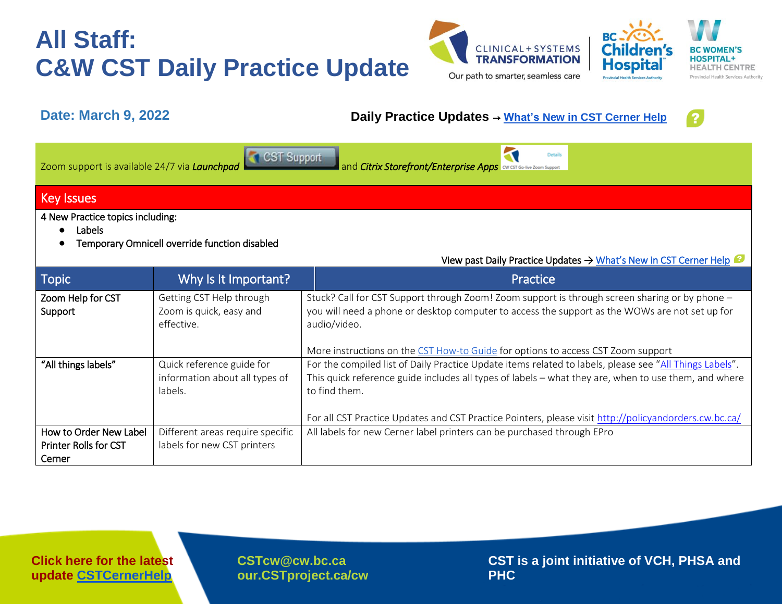# **All Staff: C&W CST Daily Practice Update**





### **Date: March 9, 2022 Daily Practice Updates** → **[What's New in CST Cerner Help](http://cstcernerhelp.healthcarebc.ca/#t=Whats_New%2FWhat_s_New.htm&rhsearch=favourites%20printer&rhsyns=%20)**



lal

Hospita

|                   | <b>Details</b><br>CST Support<br>Zoom support is available 24/7 via Launchpad<br>and <i>Citrix Storefront/Enterprise Apps</i> CNUST SO-live Zoom Support |  |  |
|-------------------|----------------------------------------------------------------------------------------------------------------------------------------------------------|--|--|
| <b>Key Issues</b> |                                                                                                                                                          |  |  |
|                   | 4 New Practice topics including:<br>Labels                                                                                                               |  |  |

● Temporary Omnicell override function disabled

| <b>Topic</b>                 | Why Is It Important?                  | Practice                                                                                                       |
|------------------------------|---------------------------------------|----------------------------------------------------------------------------------------------------------------|
| Zoom Help for CST            | Getting CST Help through              | Stuck? Call for CST Support through Zoom! Zoom support is through screen sharing or by phone -                 |
| Support                      | Zoom is quick, easy and<br>effective. | you will need a phone or desktop computer to access the support as the WOWs are not set up for<br>audio/video. |
|                              |                                       | More instructions on the CST How-to Guide for options to access CST Zoom support                               |
| "All things labels"          | Quick reference guide for             | For the compiled list of Daily Practice Update items related to labels, please see "All Things Labels".        |
|                              | information about all types of        | This quick reference guide includes all types of labels - what they are, when to use them, and where           |
|                              | labels.                               | to find them.                                                                                                  |
|                              |                                       |                                                                                                                |
|                              |                                       | For all CST Practice Updates and CST Practice Pointers, please visit http://policyandorders.cw.bc.ca/          |
| How to Order New Label       | Different areas require specific      | All labels for new Cerner label printers can be purchased through EPro                                         |
| <b>Printer Rolls for CST</b> | labels for new CST printers           |                                                                                                                |
| Cerner                       |                                       |                                                                                                                |

**[CSTcw@cw.bc.ca](mailto:CSTcw@cw.bc.ca)  our.CSTproject.ca/cw** **CST is a joint initiative of VCH, PHSA and PHC**

View past Daily Practice Updates [→ What's New in CST Cerner Help](http://cstcernerhelp.healthcarebc.ca/#t=Whats_New%2FWhat_s_New.htm&rhsearch=favourites%20printer&rhsyns=%20)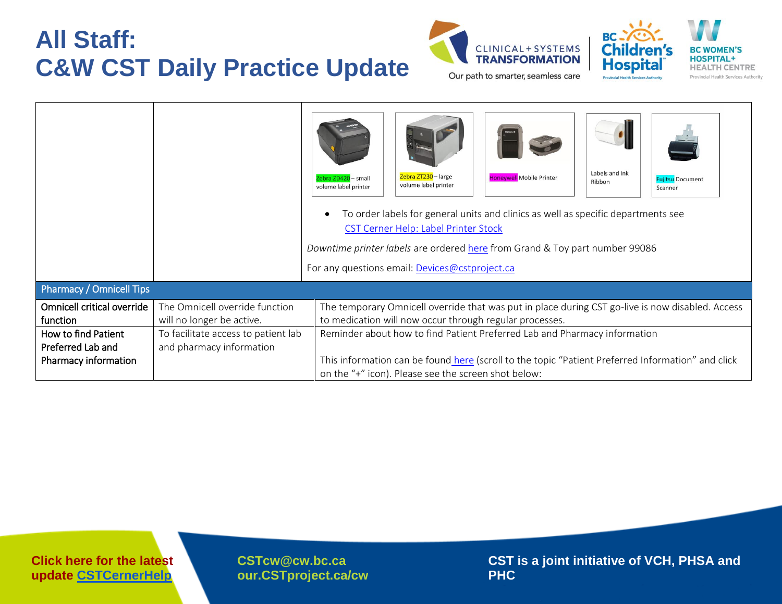# **All Staff: C&W CST Daily Practice Update**





|                            |                                     | Labels and Ink<br>Zebra ZT230 - large<br>Honeywell Mobile Printer<br>Zebra ZD420 - small<br><b>Fujitsu Document</b><br>Ribbon<br>volume label printer<br>volume label printer<br>Scanner<br>To order labels for general units and clinics as well as specific departments see<br>CST Cerner Help: Label Printer Stock<br>Downtime printer labels are ordered here from Grand & Toy part number 99086<br>For any questions email: Devices@cstproject.ca |  |  |  |
|----------------------------|-------------------------------------|--------------------------------------------------------------------------------------------------------------------------------------------------------------------------------------------------------------------------------------------------------------------------------------------------------------------------------------------------------------------------------------------------------------------------------------------------------|--|--|--|
| Pharmacy / Omnicell Tips   |                                     |                                                                                                                                                                                                                                                                                                                                                                                                                                                        |  |  |  |
| Omnicell critical override | The Omnicell override function      | The temporary Omnicell override that was put in place during CST go-live is now disabled. Access                                                                                                                                                                                                                                                                                                                                                       |  |  |  |
| function                   | will no longer be active.           | to medication will now occur through regular processes.                                                                                                                                                                                                                                                                                                                                                                                                |  |  |  |
| How to find Patient        | To facilitate access to patient lab | Reminder about how to find Patient Preferred Lab and Pharmacy information                                                                                                                                                                                                                                                                                                                                                                              |  |  |  |
| Preferred Lab and          | and pharmacy information            |                                                                                                                                                                                                                                                                                                                                                                                                                                                        |  |  |  |
| Pharmacy information       |                                     | This information can be found here (scroll to the topic "Patient Preferred Information" and click                                                                                                                                                                                                                                                                                                                                                      |  |  |  |
|                            |                                     | on the "+" icon). Please see the screen shot below:                                                                                                                                                                                                                                                                                                                                                                                                    |  |  |  |

**Click here for the latest update [CSTCernerHelp](http://cstcernerhelp.healthcarebc.ca/#t=Whats_New%2FWhat_s_New.htm&rhsearch=favourites%20printer&rhsyns=%20)**

**[CSTcw@cw.bc.ca](mailto:CSTcw@cw.bc.ca)  our.CSTproject.ca/cw** **CST is a joint initiative of VCH, PHSA and PHC**